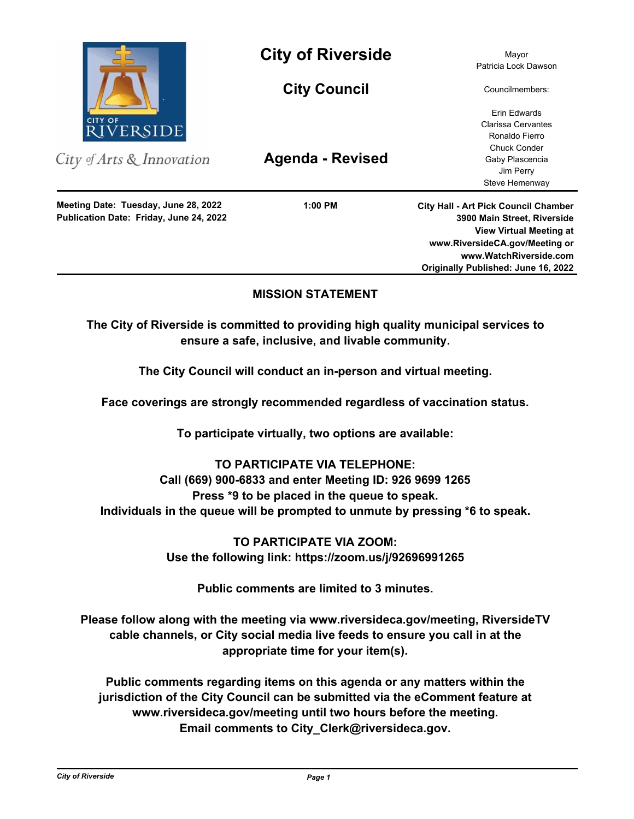

City of Arts & Innovation

**Publication Date: Friday, June 24, 2022 Meeting Date: Tuesday, June 28, 2022**

**City of Riverside** Mayor

**City Council**

**Agenda - Revised**

**1:00 PM**

Patricia Lock Dawson

Councilmembers:

Erin Edwards Clarissa Cervantes Ronaldo Fierro Chuck Conder Gaby Plascencia Jim Perry Steve Hemenway

**City Hall - Art Pick Council Chamber 3900 Main Street, Riverside View Virtual Meeting at www.RiversideCA.gov/Meeting or www.WatchRiverside.com Originally Published: June 16, 2022**

# **MISSION STATEMENT**

**The City of Riverside is committed to providing high quality municipal services to ensure a safe, inclusive, and livable community.**

**The City Council will conduct an in-person and virtual meeting.** 

**Face coverings are strongly recommended regardless of vaccination status.** 

**To participate virtually, two options are available:** 

# **TO PARTICIPATE VIA TELEPHONE: Call (669) 900-6833 and enter Meeting ID: 926 9699 1265**

**Press \*9 to be placed in the queue to speak. Individuals in the queue will be prompted to unmute by pressing \*6 to speak.**

> **TO PARTICIPATE VIA ZOOM: Use the following link: https://zoom.us/j/92696991265**

> > **Public comments are limited to 3 minutes.**

**Please follow along with the meeting via www.riversideca.gov/meeting, RiversideTV cable channels, or City social media live feeds to ensure you call in at the appropriate time for your item(s).** 

**Public comments regarding items on this agenda or any matters within the jurisdiction of the City Council can be submitted via the eComment feature at www.riversideca.gov/meeting until two hours before the meeting. Email comments to City\_Clerk@riversideca.gov.**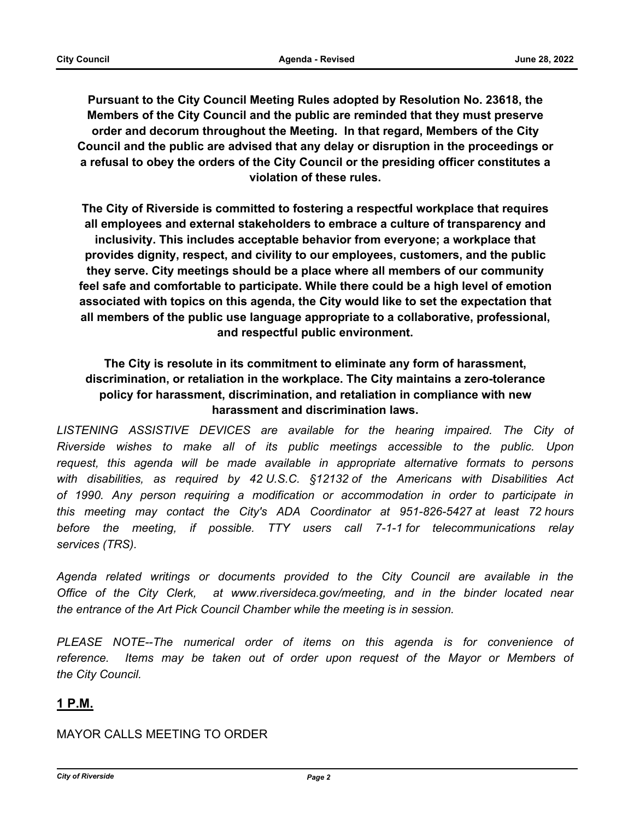**Pursuant to the City Council Meeting Rules adopted by Resolution No. 23618, the Members of the City Council and the public are reminded that they must preserve order and decorum throughout the Meeting. In that regard, Members of the City Council and the public are advised that any delay or disruption in the proceedings or a refusal to obey the orders of the City Council or the presiding officer constitutes a violation of these rules.**

**The City of Riverside is committed to fostering a respectful workplace that requires all employees and external stakeholders to embrace a culture of transparency and inclusivity. This includes acceptable behavior from everyone; a workplace that provides dignity, respect, and civility to our employees, customers, and the public they serve. City meetings should be a place where all members of our community feel safe and comfortable to participate. While there could be a high level of emotion associated with topics on this agenda, the City would like to set the expectation that all members of the public use language appropriate to a collaborative, professional, and respectful public environment.**

# **The City is resolute in its commitment to eliminate any form of harassment, discrimination, or retaliation in the workplace. The City maintains a zero-tolerance policy for harassment, discrimination, and retaliation in compliance with new harassment and discrimination laws.**

LISTENING ASSISTIVE DEVICES are available for the hearing impaired. The City of *Riverside wishes to make all of its public meetings accessible to the public. Upon request, this agenda will be made available in appropriate alternative formats to persons with disabilities, as required by 42 U.S.C. §12132 of the Americans with Disabilities Act of 1990. Any person requiring a modification or accommodation in order to participate in this meeting may contact the City's ADA Coordinator at 951-826-5427 at least 72 hours before the meeting, if possible. TTY users call 7-1-1 for telecommunications relay services (TRS).* 

*Agenda related writings or documents provided to the City Council are available in the Office of the City Clerk, at www.riversideca.gov/meeting, and in the binder located near the entrance of the Art Pick Council Chamber while the meeting is in session.* 

PLEASE NOTE--The numerical order of items on this agenda is for convenience of *reference. Items may be taken out of order upon request of the Mayor or Members of the City Council.*

# **1 P.M.**

# MAYOR CALLS MEETING TO ORDER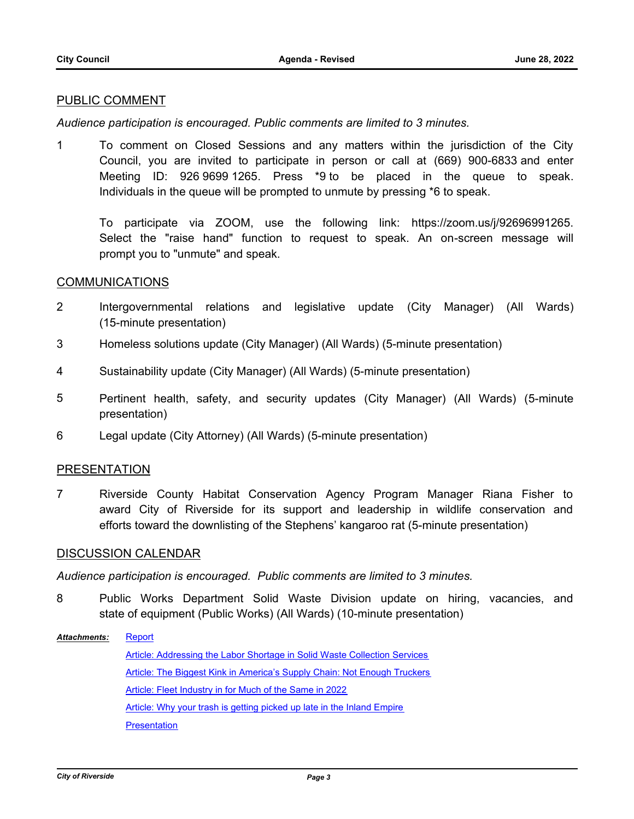# PUBLIC COMMENT

*Audience participation is encouraged. Public comments are limited to 3 minutes.*

1 To comment on Closed Sessions and any matters within the jurisdiction of the City Council, you are invited to participate in person or call at (669) 900-6833 and enter Meeting ID: 926 9699 1265. Press \*9 to be placed in the queue to speak. Individuals in the queue will be prompted to unmute by pressing \*6 to speak.

To participate via ZOOM, use the following link: https://zoom.us/j/92696991265. Select the "raise hand" function to request to speak. An on-screen message will prompt you to "unmute" and speak.

# COMMUNICATIONS

- 2 Intergovernmental relations and legislative update (City Manager) (All Wards) (15-minute presentation)
- 3 Homeless solutions update (City Manager) (All Wards) (5-minute presentation)
- 4 Sustainability update (City Manager) (All Wards) (5-minute presentation)
- 5 Pertinent health, safety, and security updates (City Manager) (All Wards) (5-minute presentation)
- 6 Legal update (City Attorney) (All Wards) (5-minute presentation)

# PRESENTATION

7 Riverside County Habitat Conservation Agency Program Manager Riana Fisher to award City of Riverside for its support and leadership in wildlife conservation and efforts toward the downlisting of the Stephens' kangaroo rat (5-minute presentation)

# DISCUSSION CALENDAR

*Audience participation is encouraged. Public comments are limited to 3 minutes.*

8 Public Works Department Solid Waste Division update on hiring, vacancies, and state of equipment (Public Works) (All Wards) (10-minute presentation)

**[Report](http://riversideca.legistar.com/gateway.aspx?M=F&ID=461c045f-eb27-4dd9-8575-7bb45011590b.docx)** [Article: Addressing the Labor Shortage in Solid Waste Collection Services](http://riversideca.legistar.com/gateway.aspx?M=F&ID=3199ca12-a982-4769-a636-266c118663ac.pdf) [Article: The Biggest Kink in America's Supply Chain: Not Enough Truckers](http://riversideca.legistar.com/gateway.aspx?M=F&ID=c4d56ef8-7d56-4686-a5e3-2b2b1bd0afa8.pdf) [Article: Fleet Industry in for Much of the Same in 2022](http://riversideca.legistar.com/gateway.aspx?M=F&ID=9325a432-dcb7-4b0a-9434-e0dcd7274e6f.pdf) [Article: Why your trash is getting picked up late in the Inland Empire](http://riversideca.legistar.com/gateway.aspx?M=F&ID=0254daf9-d4ee-4480-b6de-110f1c417d72.pdf) **[Presentation](http://riversideca.legistar.com/gateway.aspx?M=F&ID=99f5fe16-8e4f-4b43-a1b8-bffbfdc70dfa.pdf)** *Attachments:*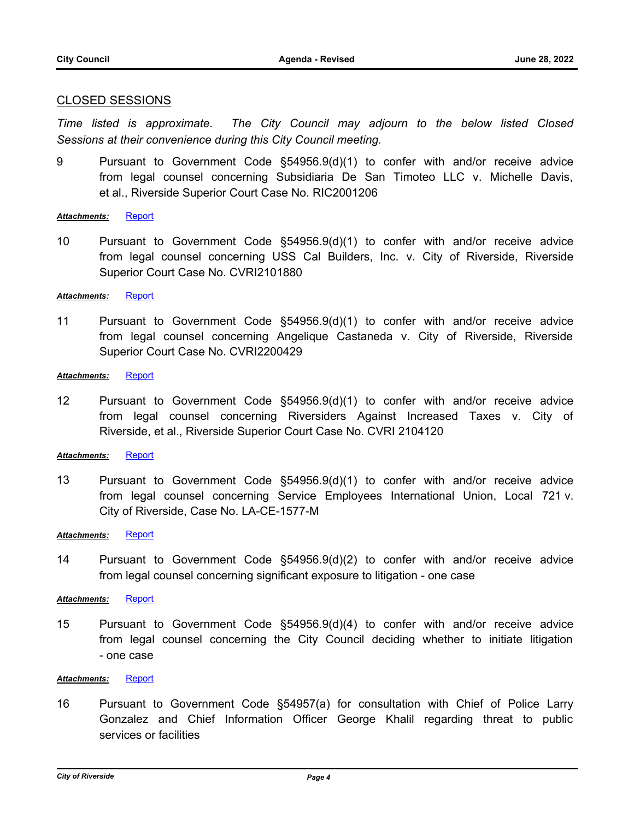### CLOSED SESSIONS

*Time listed is approximate. The City Council may adjourn to the below listed Closed Sessions at their convenience during this City Council meeting.*

9 Pursuant to Government Code §54956.9(d)(1) to confer with and/or receive advice from legal counsel concerning Subsidiaria De San Timoteo LLC v. Michelle Davis, et al., Riverside Superior Court Case No. RIC2001206

### *Attachments:* [Report](http://riversideca.legistar.com/gateway.aspx?M=F&ID=2caf3f7a-1dc0-49ef-847d-f82d8bb291b4.doc)

10 Pursuant to Government Code §54956.9(d)(1) to confer with and/or receive advice from legal counsel concerning USS Cal Builders, Inc. v. City of Riverside, Riverside Superior Court Case No. CVRI2101880

### *Attachments:* [Report](http://riversideca.legistar.com/gateway.aspx?M=F&ID=11796943-7110-4605-88bf-ffeaf7518588.doc)

11 Pursuant to Government Code §54956.9(d)(1) to confer with and/or receive advice from legal counsel concerning Angelique Castaneda v. City of Riverside, Riverside Superior Court Case No. CVRI2200429

### Attachments: [Report](http://riversideca.legistar.com/gateway.aspx?M=F&ID=1b0e46b5-2b46-4c3b-ad4a-12167bfda23b.doc)

12 Pursuant to Government Code §54956.9(d)(1) to confer with and/or receive advice from legal counsel concerning Riversiders Against Increased Taxes v. City of Riverside, et al., Riverside Superior Court Case No. CVRI 2104120

### *Attachments:* [Report](http://riversideca.legistar.com/gateway.aspx?M=F&ID=3574b863-52d0-4e41-8a48-e2ac4e6dd9fd.doc)

13 Pursuant to Government Code §54956.9(d)(1) to confer with and/or receive advice from legal counsel concerning Service Employees International Union, Local 721 v. City of Riverside, Case No. LA-CE-1577-M

### *Attachments:* [Report](http://riversideca.legistar.com/gateway.aspx?M=F&ID=4a069ef0-b385-4b35-a731-0b3b3beec74e.doc)

14 Pursuant to Government Code §54956.9(d)(2) to confer with and/or receive advice from legal counsel concerning significant exposure to litigation - one case

### *Attachments:* [Report](http://riversideca.legistar.com/gateway.aspx?M=F&ID=3a6a8bdd-46c8-4a81-ae4f-7a02cc72af11.doc)

15 Pursuant to Government Code §54956.9(d)(4) to confer with and/or receive advice from legal counsel concerning the City Council deciding whether to initiate litigation - one case

### *Attachments:* [Report](http://riversideca.legistar.com/gateway.aspx?M=F&ID=b5e30016-e84c-470d-8527-14804eccb796.doc)

16 Pursuant to Government Code §54957(a) for consultation with Chief of Police Larry Gonzalez and Chief Information Officer George Khalil regarding threat to public services or facilities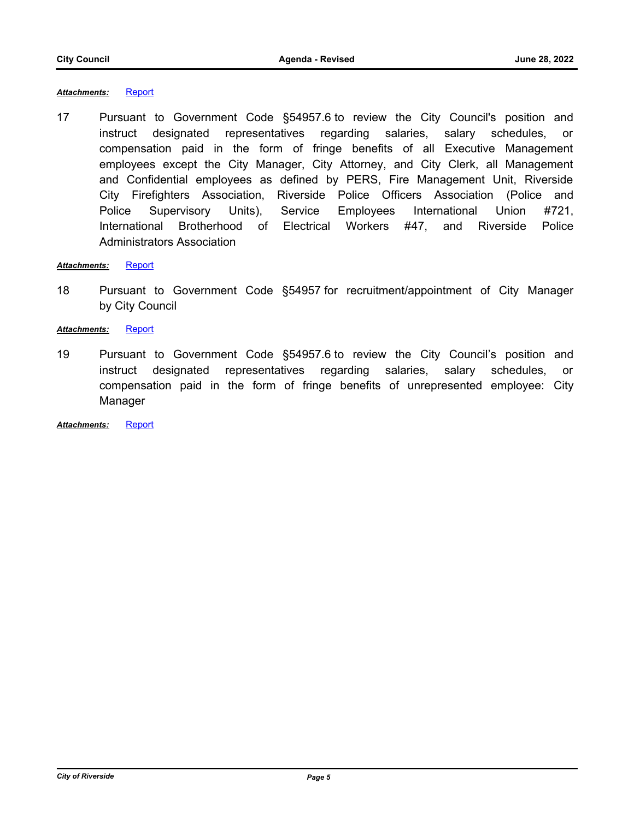### *Attachments:* [Report](http://riversideca.legistar.com/gateway.aspx?M=F&ID=e71b8927-e386-4d65-8a1d-8daa6d50d10f.doc)

17 Pursuant to Government Code §54957.6 to review the City Council's position and instruct designated representatives regarding salaries, salary schedules, or compensation paid in the form of fringe benefits of all Executive Management employees except the City Manager, City Attorney, and City Clerk, all Management and Confidential employees as defined by PERS, Fire Management Unit, Riverside City Firefighters Association, Riverside Police Officers Association (Police and Police Supervisory Units), Service Employees International Union #721, International Brotherhood of Electrical Workers #47, and Riverside Police Administrators Association

### Attachments: [Report](http://riversideca.legistar.com/gateway.aspx?M=F&ID=69034739-6e7e-4e34-98b8-c7f325931826.doc)

18 Pursuant to Government Code §54957 for recruitment/appointment of City Manager by City Council

### *Attachments:* [Report](http://riversideca.legistar.com/gateway.aspx?M=F&ID=373c4b8a-b6c7-4d41-b9b8-92646bef56e9.pdf)

19 Pursuant to Government Code §54957.6 to review the City Council's position and instruct designated representatives regarding salaries, salary schedules, or compensation paid in the form of fringe benefits of unrepresented employee: City Manager

*Attachments:* [Report](http://riversideca.legistar.com/gateway.aspx?M=F&ID=afc7c2f2-fc8c-4e27-bdc6-2e17fc3f8946.pdf)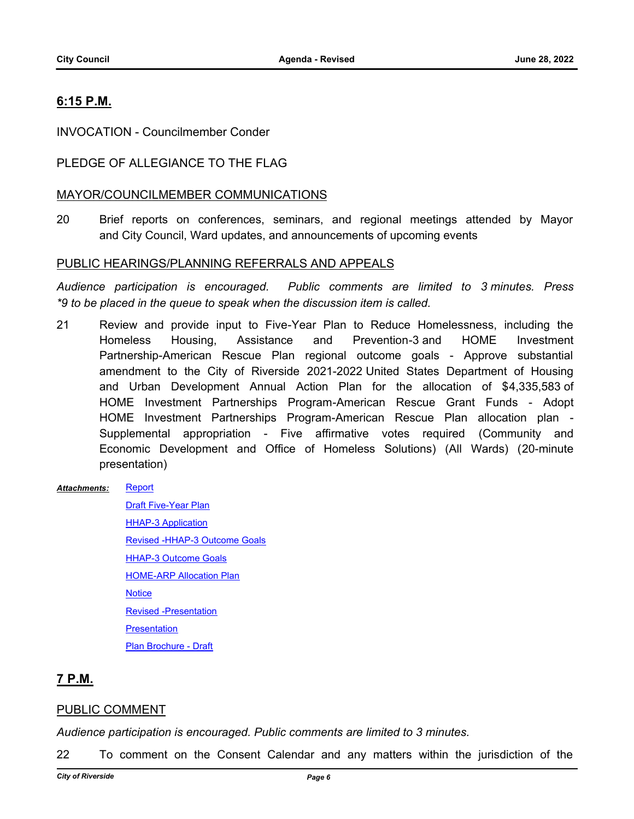# **6:15 P.M.**

INVOCATION - Councilmember Conder

# PLEDGE OF ALLEGIANCE TO THE FLAG

# MAYOR/COUNCILMEMBER COMMUNICATIONS

20 Brief reports on conferences, seminars, and regional meetings attended by Mayor and City Council, Ward updates, and announcements of upcoming events

### PUBLIC HEARINGS/PLANNING REFERRALS AND APPEALS

*Audience participation is encouraged. Public comments are limited to 3 minutes. Press \*9 to be placed in the queue to speak when the discussion item is called.*

21 Review and provide input to Five-Year Plan to Reduce Homelessness, including the Homeless Housing, Assistance and Prevention-3 and HOME Investment Partnership-American Rescue Plan regional outcome goals - Approve substantial amendment to the City of Riverside 2021-2022 United States Department of Housing and Urban Development Annual Action Plan for the allocation of \$4,335,583 of HOME Investment Partnerships Program-American Rescue Grant Funds - Adopt HOME Investment Partnerships Program-American Rescue Plan allocation plan - Supplemental appropriation - Five affirmative votes required (Community and Economic Development and Office of Homeless Solutions) (All Wards) (20-minute presentation)

#### **[Report](http://riversideca.legistar.com/gateway.aspx?M=F&ID=49543726-01e1-4f88-a9c2-52cb90cbd927.pdf)** *Attachments:*

[Draft Five-Year Plan](http://riversideca.legistar.com/gateway.aspx?M=F&ID=abc516f4-3cb0-449e-9439-e4cb3e33b7ea.pdf) **[HHAP-3 Application](http://riversideca.legistar.com/gateway.aspx?M=F&ID=0fcc8b9f-556d-4ce3-901d-aeb658a12c9e.pdf)** [Revised -HHAP-3 Outcome Goals](http://riversideca.legistar.com/gateway.aspx?M=F&ID=8296cc13-6294-4160-b18b-de1ca933f9e9.pdf) **[HHAP-3 Outcome Goals](http://riversideca.legistar.com/gateway.aspx?M=F&ID=998581c3-f248-41df-8c24-be70b7651ebd.pdf) [HOME-ARP Allocation Plan](http://riversideca.legistar.com/gateway.aspx?M=F&ID=4b9540ed-3aba-4d8f-9f47-c33dd37ee3c7.pdf) [Notice](http://riversideca.legistar.com/gateway.aspx?M=F&ID=5aa80bf9-c165-48f5-9314-32c230a224b1.pdf)** [Revised -Presentation](http://riversideca.legistar.com/gateway.aspx?M=F&ID=d2ad2cc1-7a5a-40d0-ba6d-c4d8476e4f1a.pdf) **[Presentation](http://riversideca.legistar.com/gateway.aspx?M=F&ID=6a4184e2-8a35-456a-8435-633961e374e7.pdf)** [Plan Brochure - Draft](http://riversideca.legistar.com/gateway.aspx?M=F&ID=79800439-5e60-47d5-90c9-b721e15c4dea.pdf)

# **7 P.M.**

# PUBLIC COMMENT

*Audience participation is encouraged. Public comments are limited to 3 minutes.*

22 To comment on the Consent Calendar and any matters within the jurisdiction of the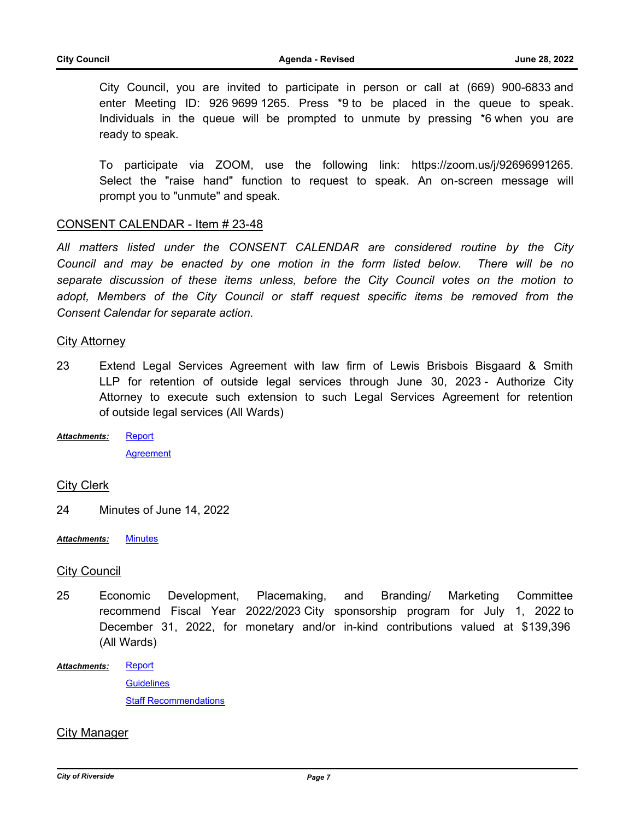City Council, you are invited to participate in person or call at (669) 900-6833 and enter Meeting ID: 926 9699 1265. Press \*9 to be placed in the queue to speak. Individuals in the queue will be prompted to unmute by pressing \*6 when you are ready to speak.

To participate via ZOOM, use the following link: https://zoom.us/j/92696991265. Select the "raise hand" function to request to speak. An on-screen message will prompt you to "unmute" and speak.

### CONSENT CALENDAR - Item # 23-48

*All matters listed under the CONSENT CALENDAR are considered routine by the City Council and may be enacted by one motion in the form listed below. There will be no separate discussion of these items unless, before the City Council votes on the motion to adopt, Members of the City Council or staff request specific items be removed from the Consent Calendar for separate action.*

### City Attorney

- 23 Extend Legal Services Agreement with law firm of Lewis Brisbois Bisgaard & Smith LLP for retention of outside legal services through June 30, 2023 - Authorize City Attorney to execute such extension to such Legal Services Agreement for retention of outside legal services (All Wards)
- [Report](http://riversideca.legistar.com/gateway.aspx?M=F&ID=cdf3481b-a3e1-404a-ac7e-dd994e01402f.docx) **[Agreement](http://riversideca.legistar.com/gateway.aspx?M=F&ID=fbe85442-0964-4a4a-a4a8-af5fb62b3bd6.pdf)** *Attachments:*

# City Clerk

24 Minutes of June 14, 2022

*Attachments:* [Minutes](http://riversideca.legistar.com/gateway.aspx?M=F&ID=11c7c5c7-c2ce-4c31-8c1e-3d3ae5f360c0.pdf)

### City Council

25 Economic Development, Placemaking, and Branding/ Marketing Committee recommend Fiscal Year 2022/2023 City sponsorship program for July 1, 2022 to December 31, 2022, for monetary and/or in-kind contributions valued at \$139,396 (All Wards)

**[Report](http://riversideca.legistar.com/gateway.aspx?M=F&ID=08c98702-7181-4a54-acfa-d36390e87f8f.pdf) [Guidelines](http://riversideca.legistar.com/gateway.aspx?M=F&ID=120f8c3d-9c49-407a-aeb4-89626d031baf.pdf)** [Staff Recommendations](http://riversideca.legistar.com/gateway.aspx?M=F&ID=ea64a00c-1387-4818-8d54-afc6671273e1.pdf) *Attachments:*

# City Manager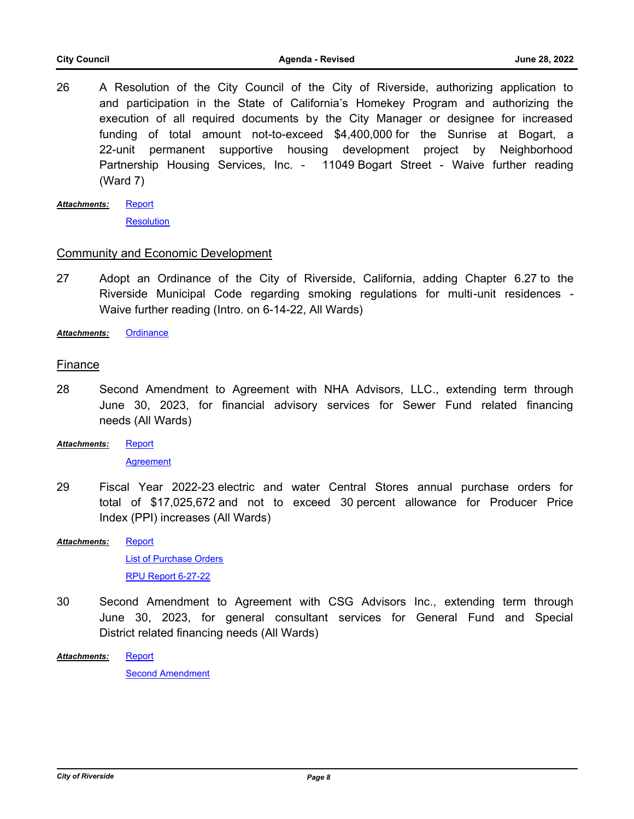- 26 A Resolution of the City Council of the City of Riverside, authorizing application to and participation in the State of California's Homekey Program and authorizing the execution of all required documents by the City Manager or designee for increased funding of total amount not-to-exceed \$4,400,000 for the Sunrise at Bogart, a 22-unit permanent supportive housing development project by Neighborhood Partnership Housing Services, Inc. - 11049 Bogart Street - Waive further reading (Ward 7)
- **[Report](http://riversideca.legistar.com/gateway.aspx?M=F&ID=e26ec4a8-5370-440e-86a9-49ad4a3d914f.docx) [Resolution](http://riversideca.legistar.com/gateway.aspx?M=F&ID=8f7eed2f-965f-45e9-9ff3-22be98daf056.docx)** *Attachments:*

# Community and Economic Development

27 Adopt an Ordinance of the City of Riverside, California, adding Chapter 6.27 to the Riverside Municipal Code regarding smoking regulations for multi-unit residences - Waive further reading (Intro. on 6-14-22, All Wards)

*Attachments:* [Ordinance](http://riversideca.legistar.com/gateway.aspx?M=F&ID=791041db-2986-48ca-9a8b-eba1c891a582.pdf)

# Finance

- 28 Second Amendment to Agreement with NHA Advisors, LLC., extending term through June 30, 2023, for financial advisory services for Sewer Fund related financing needs (All Wards)
- **[Report](http://riversideca.legistar.com/gateway.aspx?M=F&ID=60ba1857-0113-4474-8506-efbd53bff32e.docx)** *Attachments:*

**[Agreement](http://riversideca.legistar.com/gateway.aspx?M=F&ID=ed613cb4-ad56-40c8-b2ed-82a7864aa3c2.pdf)** 

29 Fiscal Year 2022-23 electric and water Central Stores annual purchase orders for total of \$17,025,672 and not to exceed 30 percent allowance for Producer Price Index (PPI) increases (All Wards)

**[Report](http://riversideca.legistar.com/gateway.aspx?M=F&ID=4e85078f-0ab7-4926-ad39-c76005ee330a.docx)** [List of Purchase Orders](http://riversideca.legistar.com/gateway.aspx?M=F&ID=ea6446ed-db43-4154-9643-7bb4248a69c5.pdf) [RPU Report 6-27-22](http://riversideca.legistar.com/gateway.aspx?M=F&ID=1a6e13d5-f26c-4cd8-b175-5eecd601e916.docx) *Attachments:*

30 Second Amendment to Agreement with CSG Advisors Inc., extending term through June 30, 2023, for general consultant services for General Fund and Special District related financing needs (All Wards)

[Report](http://riversideca.legistar.com/gateway.aspx?M=F&ID=07c71c50-21a8-4767-bb03-ed0facae9691.docx) *Attachments:*

[Second Amendment](http://riversideca.legistar.com/gateway.aspx?M=F&ID=0ad47b89-049d-4995-b17b-c4a4ccfaba8f.pdf)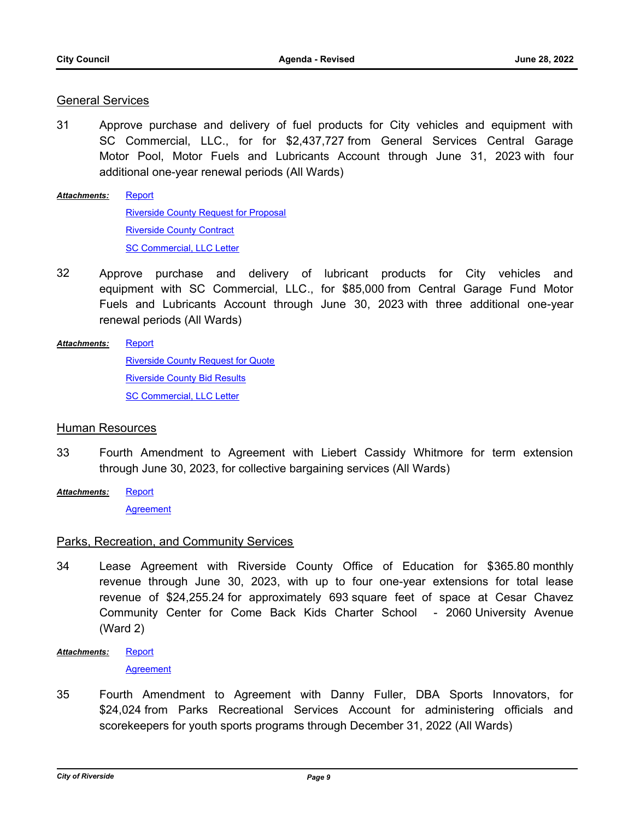# General Services

- 31 Approve purchase and delivery of fuel products for City vehicles and equipment with SC Commercial, LLC., for for \$2,437,727 from General Services Central Garage Motor Pool, Motor Fuels and Lubricants Account through June 31, 2023 with four additional one-year renewal periods (All Wards)
- [Report](http://riversideca.legistar.com/gateway.aspx?M=F&ID=47314f87-055d-43a1-a14d-9e158d16b595.docx) [Riverside County Request for Proposal](http://riversideca.legistar.com/gateway.aspx?M=F&ID=88a09125-a509-4392-b685-ec3f9ed572eb.pdf) [Riverside County Contract](http://riversideca.legistar.com/gateway.aspx?M=F&ID=26019f23-0e6c-4955-a6fc-5e75d4cbbbc3.pdf) [SC Commercial, LLC Letter](http://riversideca.legistar.com/gateway.aspx?M=F&ID=25e1a0e3-4313-4eb8-8af1-8eb4df94bce0.docx) *Attachments:*
- 32 Approve purchase and delivery of lubricant products for City vehicles and equipment with SC Commercial, LLC., for \$85,000 from Central Garage Fund Motor Fuels and Lubricants Account through June 30, 2023 with three additional one-year renewal periods (All Wards)
- [Report](http://riversideca.legistar.com/gateway.aspx?M=F&ID=59cf8151-b452-457e-a596-0a52acd33dc1.docx) *Attachments:*

[Riverside County Request for Quote](http://riversideca.legistar.com/gateway.aspx?M=F&ID=18df79ec-6d54-4a10-b2a3-0a79e00440fe.pdf) [Riverside County Bid Results](http://riversideca.legistar.com/gateway.aspx?M=F&ID=b5f755cf-a661-4b0b-9280-3b32950e1aa2.pdf) [SC Commercial, LLC Letter](http://riversideca.legistar.com/gateway.aspx?M=F&ID=7dbe8097-b29f-49f8-8d96-1ee8618d2b8e.docx)

### Human Resources

- 33 Fourth Amendment to Agreement with Liebert Cassidy Whitmore for term extension through June 30, 2023, for collective bargaining services (All Wards)
- [Report](http://riversideca.legistar.com/gateway.aspx?M=F&ID=c4bee0b4-cf4c-4134-86f1-55a6c2560b20.docx) **[Agreement](http://riversideca.legistar.com/gateway.aspx?M=F&ID=2115b692-0b43-4501-97a3-57af4f9d3b04.pdf)** *Attachments:*

# Parks, Recreation, and Community Services

- 34 Lease Agreement with Riverside County Office of Education for \$365.80 monthly revenue through June 30, 2023, with up to four one-year extensions for total lease revenue of \$24,255.24 for approximately 693 square feet of space at Cesar Chavez Community Center for Come Back Kids Charter School - 2060 University Avenue (Ward 2)
- [Report](http://riversideca.legistar.com/gateway.aspx?M=F&ID=b1872d28-b206-4e6a-9b94-93a6da783e73.docx) *Attachments:*

**[Agreement](http://riversideca.legistar.com/gateway.aspx?M=F&ID=05ff3089-4497-4601-9b9a-b5bbcfddfdd3.pdf)** 

35 Fourth Amendment to Agreement with Danny Fuller, DBA Sports Innovators, for \$24,024 from Parks Recreational Services Account for administering officials and scorekeepers for youth sports programs through December 31, 2022 (All Wards)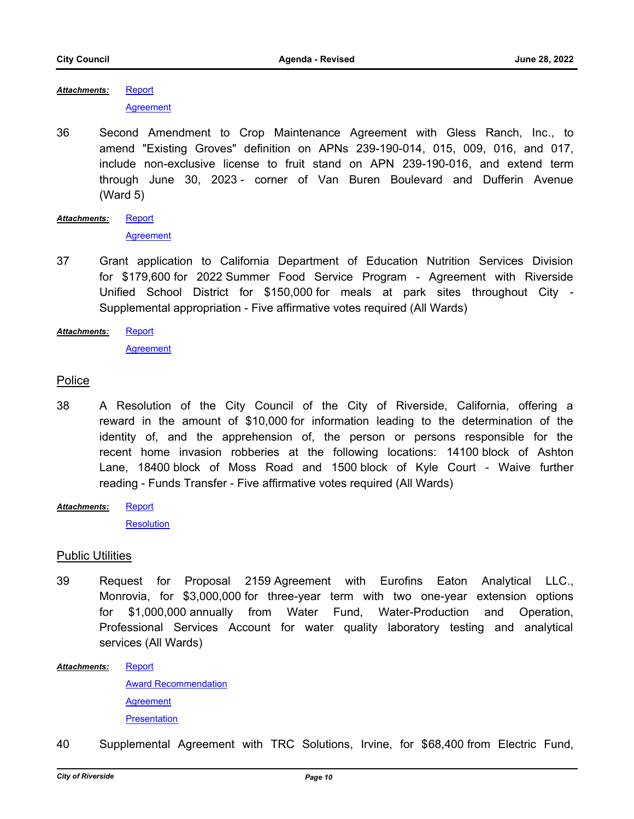**[Report](http://riversideca.legistar.com/gateway.aspx?M=F&ID=f06d305b-8e1c-4bab-b374-081f0e458095.docx)** *Attachments:*

**[Agreement](http://riversideca.legistar.com/gateway.aspx?M=F&ID=af30830d-53a9-40a6-af1f-e1d11adfeb5a.pdf)** 

- 36 Second Amendment to Crop Maintenance Agreement with Gless Ranch, Inc., to amend "Existing Groves" definition on APNs 239-190-014, 015, 009, 016, and 017, include non-exclusive license to fruit stand on APN 239-190-016, and extend term through June 30, 2023 - corner of Van Buren Boulevard and Dufferin Avenue (Ward 5)
- [Report](http://riversideca.legistar.com/gateway.aspx?M=F&ID=a5f0fb3b-603b-49a3-b3fc-b344ebe122fd.docx) **[Agreement](http://riversideca.legistar.com/gateway.aspx?M=F&ID=f53337a3-9476-49ea-9128-9466f18bbb81.pdf)** *Attachments:*
- 37 Grant application to California Department of Education Nutrition Services Division for \$179,600 for 2022 Summer Food Service Program - Agreement with Riverside Unified School District for \$150,000 for meals at park sites throughout City - Supplemental appropriation - Five affirmative votes required (All Wards)

**[Report](http://riversideca.legistar.com/gateway.aspx?M=F&ID=9c2c1c3a-09ef-442c-90b9-a23f1a2c8f70.doc)** *Attachments:*

[Agreement](http://riversideca.legistar.com/gateway.aspx?M=F&ID=bfd9c480-7b18-4533-9ee7-64ab86f27bf0.pdf)

# Police

- 38 A Resolution of the City Council of the City of Riverside, California, offering a reward in the amount of \$10,000 for information leading to the determination of the identity of, and the apprehension of, the person or persons responsible for the recent home invasion robberies at the following locations: 14100 block of Ashton Lane, 18400 block of Moss Road and 1500 block of Kyle Court - Waive further reading - Funds Transfer - Five affirmative votes required (All Wards)
- **[Report](http://riversideca.legistar.com/gateway.aspx?M=F&ID=1a041136-74ff-4e4f-8753-886a57675186.doc)** *Attachments:*

**[Resolution](http://riversideca.legistar.com/gateway.aspx?M=F&ID=691991da-8dbd-40d8-b474-c4e3ca7d8b9b.docx)** 

# Public Utilities

39 Request for Proposal 2159 Agreement with Eurofins Eaton Analytical LLC., Monrovia, for \$3,000,000 for three-year term with two one-year extension options for \$1,000,000 annually from Water Fund, Water-Production and Operation, Professional Services Account for water quality laboratory testing and analytical services (All Wards)

**[Report](http://riversideca.legistar.com/gateway.aspx?M=F&ID=717235df-22c3-4e5d-9a68-e52fe9b1c90f.docx)** *Attachments:*

> [Award Recommendation](http://riversideca.legistar.com/gateway.aspx?M=F&ID=3f2f8d32-4941-48b3-ae8b-fe5e6407cd56.pdf) **[Agreement](http://riversideca.legistar.com/gateway.aspx?M=F&ID=b8a9deb6-cd8b-4f27-a63c-69ea9f99ef3c.pdf) [Presentation](http://riversideca.legistar.com/gateway.aspx?M=F&ID=1e478a9b-6bb0-4687-b124-f64e15a991eb.pdf)**

40 Supplemental Agreement with TRC Solutions, Irvine, for \$68,400 from Electric Fund,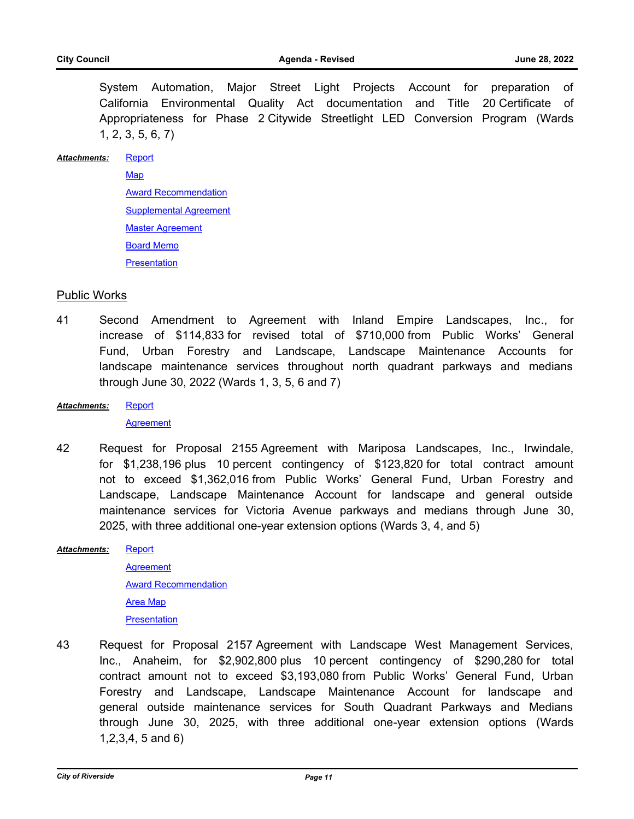System Automation, Major Street Light Projects Account for preparation of California Environmental Quality Act documentation and Title 20 Certificate of Appropriateness for Phase 2 Citywide Streetlight LED Conversion Program (Wards 1, 2, 3, 5, 6, 7)

#### [Report](http://riversideca.legistar.com/gateway.aspx?M=F&ID=aca4202a-ed9c-41e6-8122-0bf60c30d858.docx) *Attachments:*

[Map](http://riversideca.legistar.com/gateway.aspx?M=F&ID=a5dd6747-6122-449b-8e96-73ec70554de1.pdf) [Award Recommendation](http://riversideca.legistar.com/gateway.aspx?M=F&ID=6a31105e-9b7f-4b96-bc35-2886ffeb68cd.pdf) [Supplemental Agreement](http://riversideca.legistar.com/gateway.aspx?M=F&ID=8367f8d4-31b9-4c0a-a313-f3b1f66c877f.pdf) [Master Agreement](http://riversideca.legistar.com/gateway.aspx?M=F&ID=69da4bea-2f1e-4209-bd3a-afed187991cf.pdf) [Board Memo](http://riversideca.legistar.com/gateway.aspx?M=F&ID=3608fc0b-812c-4558-bf0f-d5687a53e537.docx) **[Presentation](http://riversideca.legistar.com/gateway.aspx?M=F&ID=1a58c448-3ecc-4109-9972-558ebabbe240.pdf)** 

### Public Works

41 Second Amendment to Agreement with Inland Empire Landscapes, Inc., for increase of \$114,833 for revised total of \$710,000 from Public Works' General Fund, Urban Forestry and Landscape, Landscape Maintenance Accounts for landscape maintenance services throughout north quadrant parkways and medians through June 30, 2022 (Wards 1, 3, 5, 6 and 7)

#### **[Report](http://riversideca.legistar.com/gateway.aspx?M=F&ID=88398765-7ce9-470f-aa8e-67cdb3465c6e.docx)** *Attachments:*

**[Agreement](http://riversideca.legistar.com/gateway.aspx?M=F&ID=365dbcc3-46f3-45c6-a6c3-d159bc5fc1b7.pdf)** 

- 42 Request for Proposal 2155 Agreement with Mariposa Landscapes, Inc., Irwindale, for \$1,238,196 plus 10 percent contingency of \$123,820 for total contract amount not to exceed \$1,362,016 from Public Works' General Fund, Urban Forestry and Landscape, Landscape Maintenance Account for landscape and general outside maintenance services for Victoria Avenue parkways and medians through June 30, 2025, with three additional one-year extension options (Wards 3, 4, and 5)
- **[Report](http://riversideca.legistar.com/gateway.aspx?M=F&ID=cf4a9775-9cf9-4077-90fd-3c4ac80de1a7.docx) [Agreement](http://riversideca.legistar.com/gateway.aspx?M=F&ID=4b077e7d-3972-4cbf-bc8b-03d704491255.pdf)** [Award Recommendation](http://riversideca.legistar.com/gateway.aspx?M=F&ID=b07f9ab4-4f05-46f1-b2e8-06400eb24e98.pdf) [Area Map](http://riversideca.legistar.com/gateway.aspx?M=F&ID=b4399dca-49c9-4788-a1d6-3ce1f595b4e4.pdf) **[Presentation](http://riversideca.legistar.com/gateway.aspx?M=F&ID=45fb13c0-e1b6-43e0-a09c-f266ec681af2.pdf)** *Attachments:*
- 43 Request for Proposal 2157 Agreement with Landscape West Management Services, Inc., Anaheim, for \$2,902,800 plus 10 percent contingency of \$290,280 for total contract amount not to exceed \$3,193,080 from Public Works' General Fund, Urban Forestry and Landscape, Landscape Maintenance Account for landscape and general outside maintenance services for South Quadrant Parkways and Medians through June 30, 2025, with three additional one-year extension options (Wards 1,2,3,4, 5 and 6)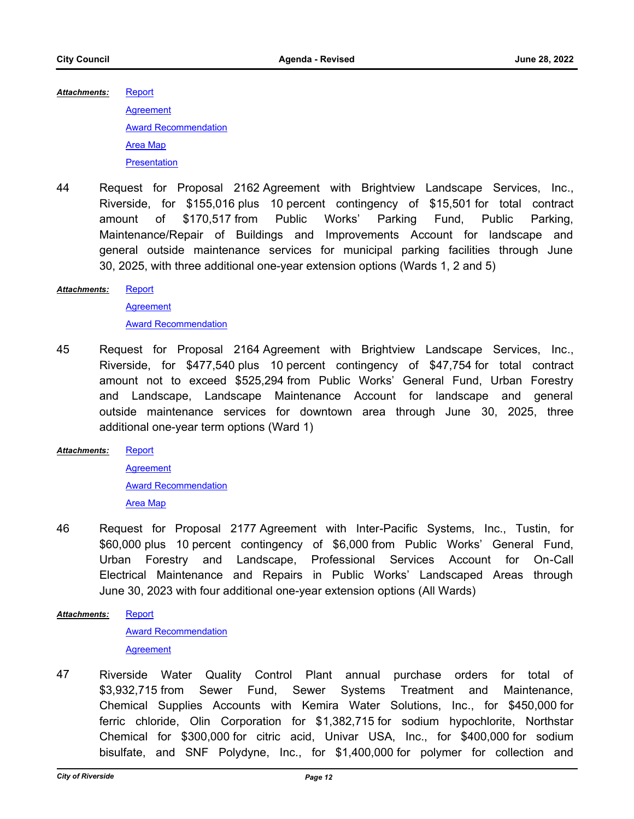**[Report](http://riversideca.legistar.com/gateway.aspx?M=F&ID=2f7f65cc-5910-4b3f-9b7d-2d4c5ab6a854.docx) [Agreement](http://riversideca.legistar.com/gateway.aspx?M=F&ID=0a3984fd-a45a-47c7-b09d-001d08801603.pdf)** [Award Recommendation](http://riversideca.legistar.com/gateway.aspx?M=F&ID=16bd26bb-949d-43df-950a-1bf27d87f0c5.pdf) *Attachments:*

[Area Map](http://riversideca.legistar.com/gateway.aspx?M=F&ID=60b68b2c-b6d4-4c4c-8f5f-5a122d400fe6.pdf)

**[Presentation](http://riversideca.legistar.com/gateway.aspx?M=F&ID=de244ecb-735f-488e-bc2e-f10bdc70ecd5.pdf)** 

44 Request for Proposal 2162 Agreement with Brightview Landscape Services, Inc., Riverside, for \$155,016 plus 10 percent contingency of \$15,501 for total contract amount of \$170,517 from Public Works' Parking Fund, Public Parking, Maintenance/Repair of Buildings and Improvements Account for landscape and general outside maintenance services for municipal parking facilities through June 30, 2025, with three additional one-year extension options (Wards 1, 2 and 5)

#### **[Report](http://riversideca.legistar.com/gateway.aspx?M=F&ID=daf52fc6-2d14-491e-b88a-e3b1eea967c3.docx)** *Attachments:*

**[Agreement](http://riversideca.legistar.com/gateway.aspx?M=F&ID=45869d03-c979-44e0-920e-5f8c735c5098.pdf)** [Award Recommendation](http://riversideca.legistar.com/gateway.aspx?M=F&ID=5488d7ef-e6fd-4d06-a225-296a978a9ffa.pdf)

45 Request for Proposal 2164 Agreement with Brightview Landscape Services, Inc., Riverside, for \$477,540 plus 10 percent contingency of \$47,754 for total contract amount not to exceed \$525,294 from Public Works' General Fund, Urban Forestry and Landscape, Landscape Maintenance Account for landscape and general outside maintenance services for downtown area through June 30, 2025, three additional one-year term options (Ward 1)

**[Report](http://riversideca.legistar.com/gateway.aspx?M=F&ID=cae83f15-c3fc-48d8-b373-0e3a1699db21.docx)** *Attachments:*

> **[Agreement](http://riversideca.legistar.com/gateway.aspx?M=F&ID=7b41ab30-d7bf-41eb-94f5-c89325f9fa9a.pdf)** [Award Recommendation](http://riversideca.legistar.com/gateway.aspx?M=F&ID=0631a190-bf12-41b2-a5bd-e1a11c2b2c9e.pdf) [Area Map](http://riversideca.legistar.com/gateway.aspx?M=F&ID=077a57ad-b365-4fe7-8b00-c290118d39d2.pdf)

- 46 Request for Proposal 2177 Agreement with Inter-Pacific Systems, Inc., Tustin, for \$60,000 plus 10 percent contingency of \$6,000 from Public Works' General Fund, Urban Forestry and Landscape, Professional Services Account for On-Call Electrical Maintenance and Repairs in Public Works' Landscaped Areas through June 30, 2023 with four additional one-year extension options (All Wards)
- **[Report](http://riversideca.legistar.com/gateway.aspx?M=F&ID=2bd2f283-57b2-40df-bcfa-574fa3628f61.docx)** *Attachments:*

[Award Recommendation](http://riversideca.legistar.com/gateway.aspx?M=F&ID=b022dac2-8390-4d14-8c73-1e5c5fdfd1fa.pdf) **[Agreement](http://riversideca.legistar.com/gateway.aspx?M=F&ID=cddd6795-b860-4a11-9183-4f6abff44d0a.pdf)** 

47 Riverside Water Quality Control Plant annual purchase orders for total of \$3,932,715 from Sewer Fund, Sewer Systems Treatment and Maintenance, Chemical Supplies Accounts with Kemira Water Solutions, Inc., for \$450,000 for ferric chloride, Olin Corporation for \$1,382,715 for sodium hypochlorite, Northstar Chemical for \$300,000 for citric acid, Univar USA, Inc., for \$400,000 for sodium bisulfate, and SNF Polydyne, Inc., for \$1,400,000 for polymer for collection and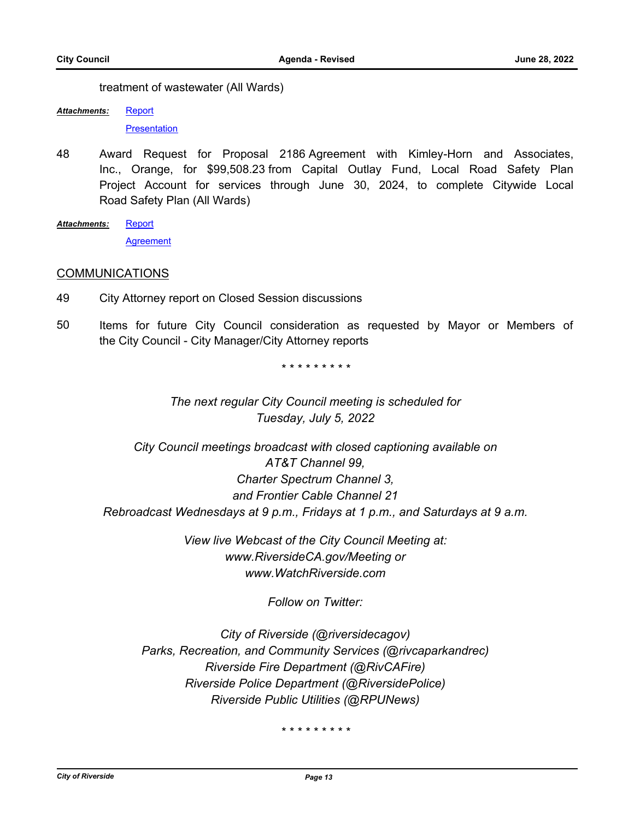treatment of wastewater (All Wards)

[Report](http://riversideca.legistar.com/gateway.aspx?M=F&ID=96fa49f9-e475-49d2-887d-7d72846a94d9.docx) *Attachments:*

**[Presentation](http://riversideca.legistar.com/gateway.aspx?M=F&ID=ad2bd035-0f67-429a-aa28-d934b84fdc6b.pdf)** 

- 48 Award Request for Proposal 2186 Agreement with Kimley-Horn and Associates, Inc., Orange, for \$99,508.23 from Capital Outlay Fund, Local Road Safety Plan Project Account for services through June 30, 2024, to complete Citywide Local Road Safety Plan (All Wards)
- **[Report](http://riversideca.legistar.com/gateway.aspx?M=F&ID=412e0637-a03e-4c5b-95d2-8e90376252a8.docx) [Agreement](http://riversideca.legistar.com/gateway.aspx?M=F&ID=a974030e-9cba-4fb1-9795-dc5f829eb421.pdf)** *Attachments:*

# **COMMUNICATIONS**

- 49 City Attorney report on Closed Session discussions
- 50 Items for future City Council consideration as requested by Mayor or Members of the City Council - City Manager/City Attorney reports

*\* \* \* \* \* \* \* \* \**

*The next regular City Council meeting is scheduled for Tuesday, July 5, 2022*

*City Council meetings broadcast with closed captioning available on AT&T Channel 99, Charter Spectrum Channel 3, and Frontier Cable Channel 21 Rebroadcast Wednesdays at 9 p.m., Fridays at 1 p.m., and Saturdays at 9 a.m.*

> *View live Webcast of the City Council Meeting at: www.RiversideCA.gov/Meeting or www.WatchRiverside.com*

> > *Follow on Twitter:*

*City of Riverside (@riversidecagov) Parks, Recreation, and Community Services (@rivcaparkandrec) Riverside Fire Department (@RivCAFire) Riverside Police Department (@RiversidePolice) Riverside Public Utilities (@RPUNews)*

*\* \* \* \* \* \* \* \* \**